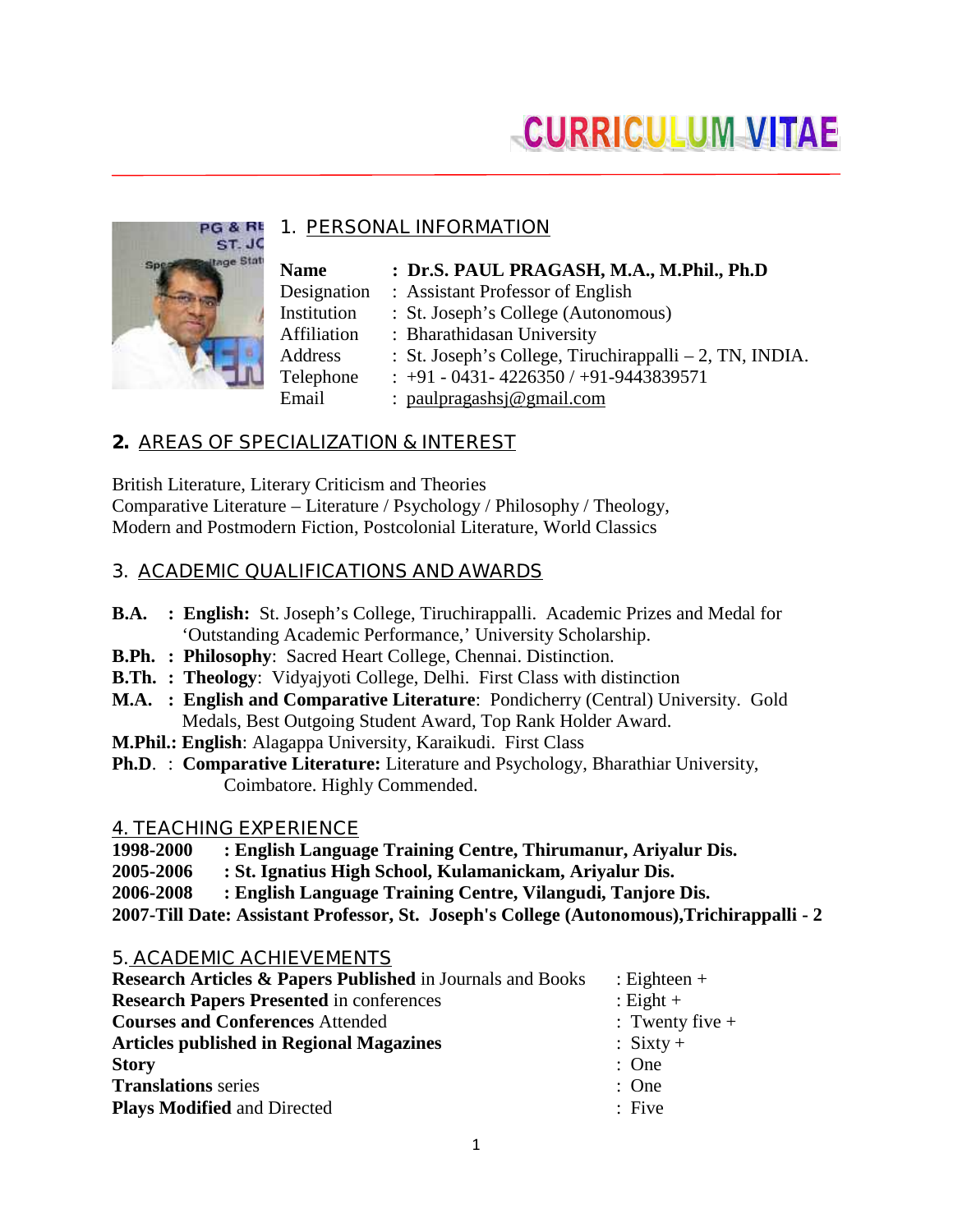# **CURRICULUM VITAE**

## **1. PERSONAL INFORMATION**

| <b>Name</b> | : Dr.S. PAUL PRAGASH, M.A., M.Phil., Ph.D               |
|-------------|---------------------------------------------------------|
| Designation | : Assistant Professor of English                        |
| Institution | : St. Joseph's College (Autonomous)                     |
| Affiliation | : Bharathidasan University                              |
| Address     | : St. Joseph's College, Tiruchirappalli – 2, TN, INDIA. |
| Telephone   | $: +91 - 0431 - 4226350 / +91 - 9443839571$             |
| Email       | : paulpragashs $j@$ gmail.com                           |

# **2. AREAS OF SPECIALIZATION & INTEREST**

British Literature, Literary Criticism and Theories Comparative Literature – Literature / Psychology / Philosophy / Theology, Modern and Postmodern Fiction, Postcolonial Literature, World Classics

# **3. ACADEMIC QUALIFICATIONS AND AWARDS**

- **B.A. : English:** St. Joseph's College, Tiruchirappalli. Academic Prizes and Medal for 'Outstanding Academic Performance,' University Scholarship.
- **B.Ph. : Philosophy**: Sacred Heart College, Chennai. Distinction.
- **B.Th. : Theology**: Vidyajyoti College, Delhi. First Class with distinction
- **M.A. : English and Comparative Literature**: Pondicherry (Central) University. Gold Medals, Best Outgoing Student Award, Top Rank Holder Award.
- **M.Phil.: English**: Alagappa University, Karaikudi. First Class
- **Ph.D**. : **Comparative Literature:** Literature and Psychology, Bharathiar University, Coimbatore. Highly Commended.

#### **4. TEACHING EXPERIENCE**

PG & RL ST.JC age Stati

- **1998-2000 : English Language Training Centre, Thirumanur, Ariyalur Dis.**
- **2005-2006 : St. Ignatius High School, Kulamanickam, Ariyalur Dis.**
- **2006-2008 : English Language Training Centre, Vilangudi, Tanjore Dis.**

**2007-Till Date: Assistant Professor, St. Joseph's College (Autonomous),Trichirappalli - 2**

#### **5. ACADEMIC ACHIEVEMENTS**

| <b>Research Articles &amp; Papers Published</b> in Journals and Books | $\therefore$ Eighteen + |
|-----------------------------------------------------------------------|-------------------------|
| <b>Research Papers Presented in conferences</b>                       | : Eight $+$             |
| <b>Courses and Conferences Attended</b>                               | $:$ Twenty five $+$     |
| <b>Articles published in Regional Magazines</b>                       | $: Sixty +$             |
| <b>Story</b>                                                          | : One                   |
| <b>Translations</b> series                                            | : One                   |
| <b>Plays Modified and Directed</b>                                    | $:$ Five                |